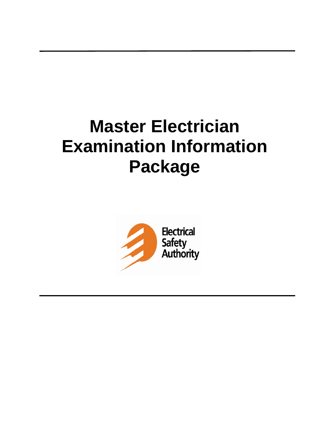# **Master Electrician Examination Information Package**

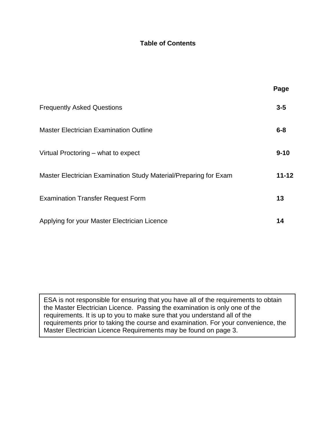### **Table of Contents**

|                                                                  | Page      |
|------------------------------------------------------------------|-----------|
| <b>Frequently Asked Questions</b>                                | $3 - 5$   |
| <b>Master Electrician Examination Outline</b>                    | $6 - 8$   |
| Virtual Proctoring – what to expect                              | $9 - 10$  |
| Master Electrician Examination Study Material/Preparing for Exam | $11 - 12$ |
| <b>Examination Transfer Request Form</b>                         | 13        |
| Applying for your Master Electrician Licence                     | 14        |

ESA is not responsible for ensuring that you have all of the requirements to obtain the Master Electrician Licence. Passing the examination is only one of the requirements. It is up to you to make sure that you understand all of the requirements prior to taking the course and examination. For your convenience, the Master Electrician Licence Requirements may be found on page 3.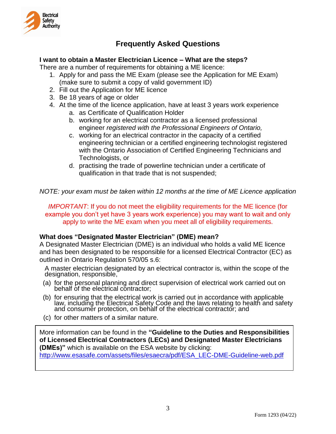

## **Frequently Asked Questions**

#### **I want to obtain a Master Electrician Licence – What are the steps?**

There are a number of requirements for obtaining a ME licence:

- 1. Apply for and pass the ME Exam (please see the Application for ME Exam) (make sure to submit a copy of valid government ID)
- 2. Fill out the Application for ME licence
- 3. Be 18 years of age or older
- 4. At the time of the licence application, have at least 3 years work experience
	- a. as Certificate of Qualification Holder
	- b. working for an electrical contractor as a licensed professional engineer *registered with the Professional Engineers of Ontario,*
	- c. working for an electrical contractor in the capacity of a certified engineering technician or a certified engineering technologist registered with the Ontario Association of Certified Engineering Technicians and Technologists, or
	- d. practising the trade of powerline technician under a certificate of qualification in that trade that is not suspended;

*NOTE: your exam must be taken within 12 months at the time of ME Licence application*

*IMPORTANT*: If you do not meet the eligibility requirements for the ME licence (for example you don't yet have 3 years work experience) you may want to wait and only apply to write the ME exam when you meet all of eligibility requirements.

#### **What does "Designated Master Electrician" (DME) mean?**

A Designated Master Electrician (DME) is an individual who holds a valid ME licence and has been designated to be responsible for a licensed Electrical Contractor (EC) as outlined in Ontario Regulation 570/05 s.6:

A master electrician designated by an electrical contractor is, within the scope of the designation, responsible,

- (a) for the personal planning and direct supervision of electrical work carried out on behalf of the electrical contractor;
- (b) for ensuring that the electrical work is carried out in accordance with applicable law, including the Electrical Safety Code and the laws relating to health and safety and consumer protection, on behalf of the electrical contractor; and
- (c) for other matters of a similar nature.

More information can be found in the **"Guideline to the Duties and Responsibilities of Licensed Electrical Contractors (LECs) and Designated Master Electricians (DMEs)"** which is available on the ESA website by clicking:

[http://www.esasafe.com/assets/files/esaecra/pdf/ESA\\_LEC-DME-Guideline-web.pdf](http://www.esasafe.com/assets/files/esaecra/pdf/ESA_LEC-DME-Guideline-web.pdf)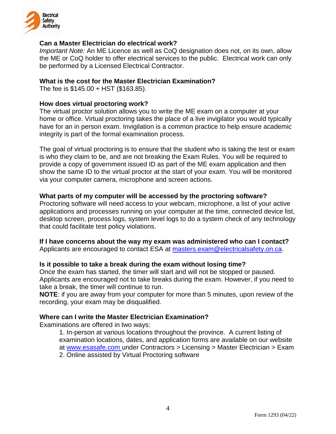

#### **Can a Master Electrician do electrical work?**

*Important Note:* An ME Licence as well as CoQ designation does not, on its own, allow the ME or CoQ holder to offer electrical services to the public. Electrical work can only be performed by a Licensed Electrical Contractor.

#### **What is the cost for the Master Electrician Examination?**

The fee is \$145.00 + HST (\$163.85).

#### **How does virtual [proctoring work?](https://www.ryerson.ca/centre-for-excellence-in-learning-and-teaching/remote-teaching/virtual-proctoring/students/#accordion-content-1607354539054-how-does-virtual-proctoring-work-)**

The virtual proctor solution allows you to write the ME exam on a computer at your home or office. Virtual proctoring takes the place of a live invigilator you would typically have for an in person exam. Invigilation is a common practice to help ensure academic integrity is part of the formal examination process.

The goal of virtual proctoring is to ensure that the student who is taking the test or exam is who they claim to be, and are not breaking the Exam Rules. You will be required to provide a copy of government issued ID as part of the ME exam application and then show the same ID to the virtual proctor at the start of your exam. You will be monitored via your computer camera, microphone and screen actions.

#### **[What parts of my computer will be accessed by the proctoring software?](https://www.ryerson.ca/centre-for-excellence-in-learning-and-teaching/remote-teaching/virtual-proctoring/students/#accordion-content-1603890316784-what-parts-of-my-computer-will-be-accessed-by-the-proctoring-software-)**

Proctoring software will need access to your webcam, microphone, a list of your active applications and processes running on your computer at the time, connected device list, desktop screen, process logs, system level logs to do a system check of any technology that could facilitate test policy violations.

#### **[If I have concerns about the way my exam was administered who can I contact?](https://www.ryerson.ca/centre-for-excellence-in-learning-and-teaching/remote-teaching/virtual-proctoring/students/#accordion-content-1607354582316-if-i-have-concerns-about-the-way-my-exam-was-administered-or-the-course-was-run--who-can-i-contact-)**

Applicants are encouraged to contact ESA at [masters.exam@electricalsafety.on.ca.](mailto:masters.exam@electricalsafety.on.ca)

#### **Is it possible to take a break during the exam without losing time?**

Once the exam has started, the timer will start and will not be stopped or paused. Applicants are encouraged not to take breaks during the exam. However, if you need to take a break, the timer will continue to run.

**NOTE**: if you are away from your computer for more than 5 minutes, upon review of the recording, your exam may be disqualified.

#### **Where can I write the Master Electrician Examination?**

Examinations are offered in two ways:

1. In-person at various locations throughout the province. A current listing of examination locations, dates, and application forms are available on our website at www.esasafe.com under Contractors > Licensing > Master Electrician > Exam 2. Online assisted by Virtual Proctoring software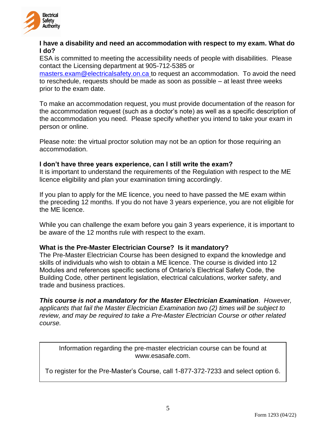

#### **I have a [disability and need an accommodation with respect to my exam. What do](https://esasafe.com/)  [I do?](https://esasafe.com/)**

ESA is committed to meeting the accessibility needs of people with disabilities. Please contact the Licensing department at 905-712-5385 or

[masters.exam@electricalsafety.on.ca](mailto:masters.exam@electricalsafety.on.ca) to request an accommodation. To avoid the need to reschedule, requests should be made as soon as possible – at least three weeks prior to the exam date.

To make an accommodation request, you must provide documentation of the reason for the accommodation request (such as a doctor's note) as well as a specific description of the accommodation you need. Please specify whether you intend to take your exam in person or online.

Please note: the virtual proctor solution may not be an option for those requiring an accommodation.

#### **I don't have three years experience, can I still write the exam?**

It is important to understand the requirements of the Regulation with respect to the ME licence eligibility and plan your examination timing accordingly.

If you plan to apply for the ME licence, you need to have passed the ME exam within the preceding 12 months. If you do not have 3 years experience, you are not eligible for the ME licence.

While you can challenge the exam before you gain 3 years experience, it is important to be aware of the 12 months rule with respect to the exam.

#### **What is the Pre-Master Electrician Course? Is it mandatory?**

The Pre-Master Electrician Course has been designed to expand the knowledge and skills of individuals who wish to obtain a ME licence. The course is divided into 12 Modules and references specific sections of Ontario's Electrical Safety Code, the Building Code, other pertinent legislation, electrical calculations, worker safety, and trade and business practices.

*This course is not a mandatory for the Master Electrician Examination*. *However, applicants that fail the Master Electrician Examination two (2) times will be subject to review, and may be required to take a Pre-Master Electrician Course or other related course.* 

Information regarding the pre-master electrician course can be found at [www.esasafe.com.](http://www.esasafe.com/)

To register for the Pre-Master's Course, call 1-877-372-7233 and select option 6.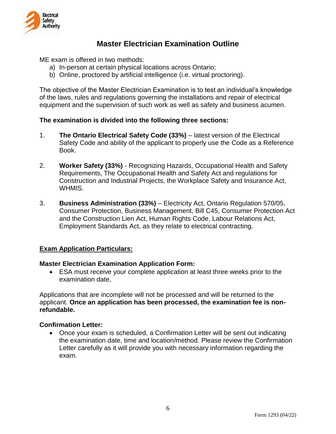

## **Master Electrician Examination Outline**

ME exam is offered in two methods:

- a) In-person at certain physical locations across Ontario;
- b) Online, proctored by artificial intelligence (i.e. virtual proctoring).

The objective of the Master Electrician Examination is to test an individual's knowledge of the laws, rules and regulations governing the installations and repair of electrical equipment and the supervision of such work as well as safety and business acumen.

#### **The examination is divided into the following three sections:**

- 1. **The Ontario Electrical Safety Code (33%)** latest version of the Electrical Safety Code and ability of the applicant to properly use the Code as a Reference Book.
- 2. **Worker Safety (33%)** Recognizing Hazards, Occupational Health and Safety Requirements, The Occupational Health and Safety Act and regulations for Construction and Industrial Projects, the Workplace Safety and Insurance Act, WHMIS.
- 3. **Business Administration (33%)** Electricity Act, Ontario Regulation 570/05, Consumer Protection, Business Management, Bill C45, Consumer Protection Act and the Construction Lien Act, Human Rights Code, Labour Relations Act, Employment Standards Act, as they relate to electrical contracting.

#### **Exam Application Particulars:**

#### **Master Electrician Examination Application Form:**

 ESA must receive your complete application at least three weeks prior to the examination date,

Applications that are incomplete will not be processed and will be returned to the applicant. **Once an application has been processed, the examination fee is nonrefundable.**

#### **Confirmation Letter:**

 Once your exam is scheduled, a Confirmation Letter will be sent out indicating the examination date, time and location/method. Please review the Confirmation Letter carefully as it will provide you with necessary information regarding the exam.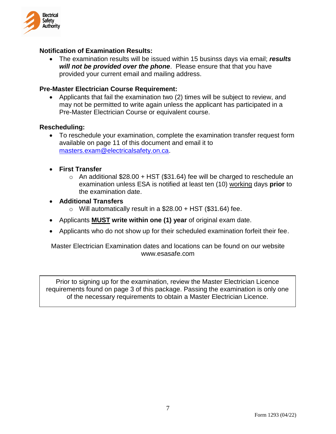

#### **Notification of Examination Results:**

 The examination results will be issued within 15 businss days via email; *results will not be provided over the phone*. Please ensure that that you have provided your current email and mailing address.

#### **Pre-Master Electrician Course Requirement:**

 Applicants that fail the examination two (2) times will be subject to review, and may not be permitted to write again unless the applicant has participated in a Pre-Master Electrician Course or equivalent course.

#### **Rescheduling:**

- To reschedule your examination, complete the examination transfer request form available on page 11 of this document and email it to [masters.exam@electricalsafety.on.ca.](mailto:masters.exam@electricalsafety.on.ca)
- **First Transfer** 
	- $\circ$  An additional \$28.00 + HST (\$31.64) fee will be charged to reschedule an examination unless ESA is notified at least ten (10) working days **prior** to the examination date.
- **Additional Transfers**
	- $\circ$  Will automatically result in a \$28.00 + HST (\$31.64) fee.
- Applicants **MUST write within one (1) year** of original exam date.
- Applicants who do not show up for their scheduled examination forfeit their fee.

Master Electrician Examination dates and locations can be found on our website [www.esasafe.com](http://www.esasafe.com/)

Prior to signing up for the examination, review the Master Electrician Licence requirements found on page 3 of this package. Passing the examination is only one of the necessary requirements to obtain a Master Electrician Licence.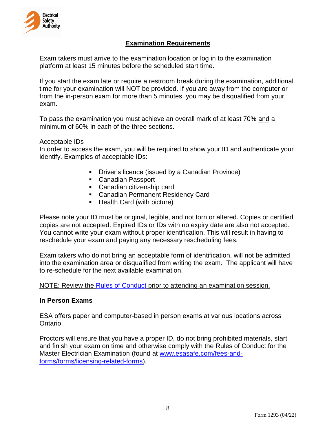

#### **Examination Requirements**

Exam takers must arrive to the examination location or log in to the examination platform at least 15 minutes before the scheduled start time.

If you start the exam late or require a restroom break during the examination, additional time for your examination will NOT be provided. If you are away from the computer or from the in-person exam for more than 5 minutes, you may be disqualified from your exam.

To pass the examination you must achieve an overall mark of at least 70% and a minimum of 60% in each of the three sections.

#### Acceptable IDs

In order to access the exam, you will be required to show your ID and authenticate your identify. Examples of acceptable IDs:

- **Driver's licence (issued by a Canadian Province)**
- **Canadian Passport**
- **Canadian citizenship card**
- Canadian Permanent Residency Card
- Health Card (with picture)

Please note your ID must be original, legible, and not torn or altered. Copies or certified copies are not accepted. Expired IDs or IDs with no expiry date are also not accepted. You cannot write your exam without proper identification. This will result in having to reschedule your exam and paying any necessary rescheduling fees.

Exam takers who do not bring an acceptable form of identification, will not be admitted into the examination area or disqualified from writing the exam. The applicant will have to re-schedule for the next available examination.

NOTE: Review the [Rules of Conduct](https://esasafe.com/fees-and-forms/forms/licensing-related-forms/) prior to attending an examination session.

#### **In Person Exams**

ESA offers paper and computer-based in person exams at various locations across Ontario.

Proctors will ensure that you have a proper ID, do not bring prohibited materials, start and finish your exam on time and otherwise comply with the Rules of Conduct for the Master Electrician Examination (found at [www.esasafe.com/fees-and](https://esasafe.com/fees-and-forms/forms/licensing-related-forms/)[forms/forms/licensing-related-forms\)](https://esasafe.com/fees-and-forms/forms/licensing-related-forms/).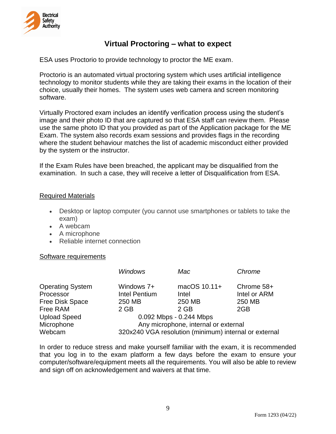

## **Virtual Proctoring – what to expect**

ESA uses Proctorio to provide technology to proctor the ME exam.

Proctorio is an automated virtual proctoring system which uses artificial intelligence technology to monitor students while they are taking their exams in the location of their choice, usually their homes. The system uses web camera and screen monitoring software.

Virtually Proctored exam includes an identify verification process using the student's image and their photo ID that are captured so that ESA staff can review them. Please use the same photo ID that you provided as part of the Application package for the ME Exam. The system also records exam sessions and provides flags in the recording where the student behaviour matches the list of academic misconduct either provided by the system or the instructor.

If the Exam Rules have been breached, the applicant may be disqualified from the examination. In such a case, they will receive a letter of Disqualification from ESA.

#### Required Materials

- Desktop or laptop computer (you cannot use smartphones or tablets to take the exam)
- A webcam
- A microphone
- Reliable internet connection

#### Software requirements

|                                                         | <b>Windows</b>                               | Mac                                                   | Chrome                               |
|---------------------------------------------------------|----------------------------------------------|-------------------------------------------------------|--------------------------------------|
| <b>Operating System</b><br>Processor<br>Free Disk Space | Windows 7+<br><b>Intel Pentium</b><br>250 MB | macOS 10.11+<br>Intel<br>250 MB                       | Chrome 58+<br>Intel or ARM<br>250 MB |
| Free RAM                                                | $2$ GB                                       | 2 GB                                                  | 2GB                                  |
| <b>Upload Speed</b>                                     |                                              | 0.092 Mbps - 0.244 Mbps                               |                                      |
| Microphone                                              | Any microphone, internal or external         |                                                       |                                      |
| Webcam                                                  |                                              | 320x240 VGA resolution (minimum) internal or external |                                      |

In order to reduce stress and make yourself familiar with the exam, it is recommended that you log in to the exam platform a few days before the exam to ensure your computer/software/equipment meets all the requirements. You will also be able to review and sign off on acknowledgement and waivers at that time.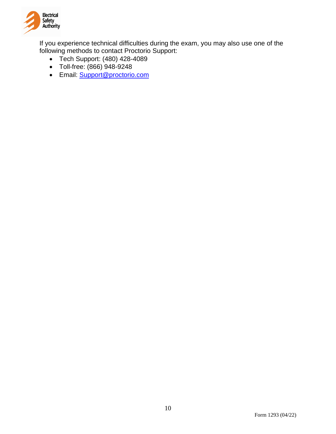

If you experience technical difficulties during the exam, you may also use one of the following methods to contact Proctorio Support:

- Tech Support: (480) 428-4089
- Toll-free: (866) 948-9248
- Email: **Support@proctorio.com**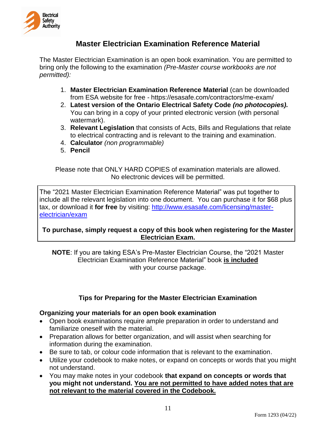

## **Master Electrician Examination Reference Material**

The Master Electrician Examination is an open book examination. You are permitted to bring only the following to the examination *(Pre-Master course workbooks are not permitted):*

- 1. **Master Electrician Examination Reference Material** (can be downloaded from ESA website for free - https://esasafe.com/contractors/me-exam/
- 2. **Latest version of the Ontario Electrical Safety Code** *(no photocopies).* You can bring in a copy of your printed electronic version (with personal watermark).
- 3. **Relevant Legislation** that consists of Acts, Bills and Regulations that relate to electrical contracting and is relevant to the training and examination.
- 4. **Calculator** *(non programmable)*
- 5. **Pencil**

Please note that ONLY HARD COPIES of examination materials are allowed. No electronic devices will be permitted.

The "2021 Master Electrician Examination Reference Material" was put together to include all the relevant legislation into one document. You can purchase it for \$68 plus tax, or download it **for free** by visiting: [http://www.esasafe.com/licensing/master](http://www.esasafe.com/licensing/master-electrician/exam)[electrician/exam](http://www.esasafe.com/licensing/master-electrician/exam)

#### **To purchase, simply request a copy of this book when registering for the Master Electrician Exam.**

**NOTE**: If you are taking ESA's Pre-Master Electrician Course, the "2021 Master Electrician Examination Reference Material" book **is included** with your course package.

#### **Tips for Preparing for the Master Electrician Examination**

#### **Organizing your materials for an open book examination**

- Open book examinations require ample preparation in order to understand and familiarize oneself with the material.
- Preparation allows for better organization, and will assist when searching for information during the examination.
- Be sure to tab, or colour code information that is relevant to the examination.
- Utilize your codebook to make notes, or expand on concepts or words that you might not understand.
- You may make notes in your codebook **that expand on concepts or words that you might not understand. You are not permitted to have added notes that are not relevant to the material covered in the Codebook.**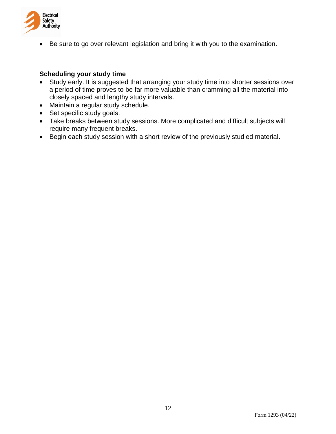

Be sure to go over relevant legislation and bring it with you to the examination.

#### **Scheduling your study time**

- Study early. It is suggested that arranging your study time into shorter sessions over a period of time proves to be far more valuable than cramming all the material into closely spaced and lengthy study intervals.
- Maintain a regular study schedule.
- Set specific study goals.
- Take breaks between study sessions. More complicated and difficult subjects will require many frequent breaks.
- Begin each study session with a short review of the previously studied material.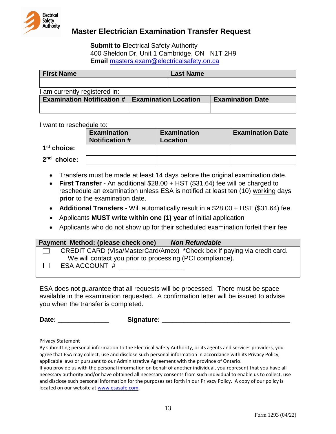

## **Master Electrician Examination Transfer Request**

**Submit to Electrical Safety Authority** 400 Sheldon Dr, Unit 1 Cambridge, ON N1T 2H9 **Email** [masters.exam@electricalsafety.on.ca](mailto:masters.exam@electricalsafety.on.ca)

| <b>First Name</b>                 |                             | <b>Last Name</b> |                         |
|-----------------------------------|-----------------------------|------------------|-------------------------|
|                                   |                             |                  |                         |
| I am currently registered in:     |                             |                  |                         |
| <b>Examination Notification #</b> | <b>Examination Location</b> |                  | <b>Examination Date</b> |
|                                   |                             |                  |                         |

I want to reschedule to:

|               | <b>Examination</b><br><b>Notification #</b> | <b>Examination</b><br>Location | <b>Examination Date</b> |
|---------------|---------------------------------------------|--------------------------------|-------------------------|
| $1st$ choice: |                                             |                                |                         |
| $2nd$ choice: |                                             |                                |                         |

- Transfers must be made at least 14 days before the original examination date.
- **First Transfer** An additional \$28.00 + HST (\$31.64) fee will be charged to reschedule an examination unless ESA is notified at least ten (10) working days **prior** to the examination date.
- **Additional Transfers** Will automatically result in a \$28.00 + HST (\$31.64) fee
- Applicants **MUST write within one (1) year** of initial application
- Applicants who do not show up for their scheduled examination forfeit their fee

| Payment Method: (please check one)<br><b>Non Refundable</b>              |
|--------------------------------------------------------------------------|
| CREDIT CARD (Visa/MasterCard/Amex) *Check box if paying via credit card. |
| We will contact you prior to processing (PCI compliance).                |
| ESA ACCOUNT #                                                            |
|                                                                          |

ESA does not guarantee that all requests will be processed. There must be space available in the examination requested. A confirmation letter will be issued to advise you when the transfer is completed.

**Date: \_\_\_\_\_\_\_\_\_\_\_\_\_\_ Signature: \_\_\_\_\_\_\_\_\_\_\_\_\_\_\_\_\_\_\_\_\_\_\_\_\_\_\_\_\_\_\_\_\_\_\_**

Privacy Statement

By submitting personal information to the Electrical Safety Authority, or its agents and services providers, you agree that ESA may collect, use and disclose such personal information in accordance with its Privacy Policy, applicable laws or pursuant to our Administrative Agreement with the province of Ontario.

If you provide us with the personal information on behalf of another individual, you represent that you have all necessary authority and/or have obtained all necessary consents from such individual to enable us to collect, use and disclose such personal information for the purposes set forth in our Privacy Policy. A copy of our policy is located on our website at [www.esasafe.com.](http://www.esasafe.com/)